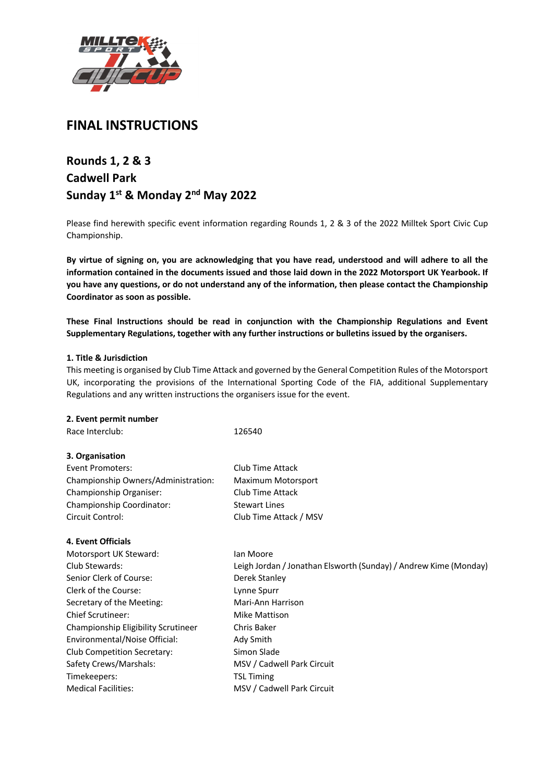

# **FINAL INSTRUCTIONS**

# **Rounds 1, 2 & 3 Cadwell Park Sunday 1st & Monday 2nd May 2022**

Please find herewith specific event information regarding Rounds 1, 2 & 3 of the 2022 Milltek Sport Civic Cup Championship.

**By virtue of signing on, you are acknowledging that you have read, understood and will adhere to all the information contained in the documents issued and those laid down in the 2022 Motorsport UK Yearbook. If you have any questions, or do not understand any of the information, then please contact the Championship Coordinator as soon as possible.**

**These Final Instructions should be read in conjunction with the Championship Regulations and Event Supplementary Regulations, together with any further instructions or bulletins issued by the organisers.**

## **1. Title & Jurisdiction**

This meeting is organised by Club Time Attack and governed by the General Competition Rules of the Motorsport UK, incorporating the provisions of the International Sporting Code of the FIA, additional Supplementary Regulations and any written instructions the organisers issue for the event.

#### **2. Event permit number**

| Race Interclub:                     | 126540                                                           |
|-------------------------------------|------------------------------------------------------------------|
| 3. Organisation                     |                                                                  |
| Event Promoters:                    | Club Time Attack                                                 |
| Championship Owners/Administration: | Maximum Motorsport                                               |
| Championship Organiser:             | Club Time Attack                                                 |
| Championship Coordinator:           | <b>Stewart Lines</b>                                             |
| Circuit Control:                    | Club Time Attack / MSV                                           |
| <b>4. Event Officials</b>           |                                                                  |
| Motorsport UK Steward:              | lan Moore                                                        |
| Club Stewards:                      | Leigh Jordan / Jonathan Elsworth (Sunday) / Andrew Kime (Monday) |
| Senior Clerk of Course:             | Derek Stanley                                                    |
| Clerk of the Course:                | Lynne Spurr                                                      |
| Secretary of the Meeting:           | Mari-Ann Harrison                                                |
| <b>Chief Scrutineer:</b>            | Mike Mattison                                                    |
| Championship Eligibility Scrutineer | Chris Baker                                                      |
| Environmental/Noise Official:       | Ady Smith                                                        |
| <b>Club Competition Secretary:</b>  | Simon Slade                                                      |
| Safety Crews/Marshals:              | MSV / Cadwell Park Circuit                                       |
| Timekeepers:                        | <b>TSL Timing</b>                                                |
| <b>Medical Facilities:</b>          | MSV / Cadwell Park Circuit                                       |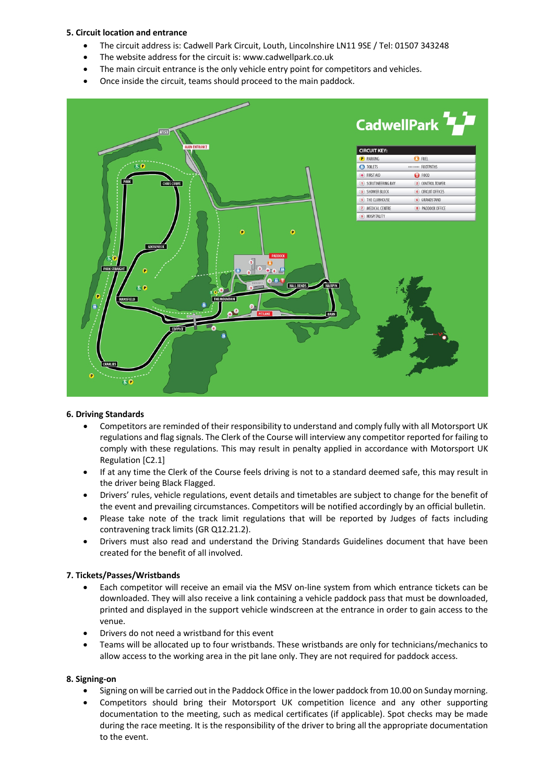# **5. Circuit location and entrance**

- The circuit address is: Cadwell Park Circuit, Louth, Lincolnshire LN11 9SE / Tel: 01507 343248
- The website address for the circuit is: www.cadwellpark.co.uk
- The main circuit entrance is the only vehicle entry point for competitors and vehicles.
- Once inside the circuit, teams should proceed to the main paddock.



## **6. Driving Standards**

- Competitors are reminded of their responsibility to understand and comply fully with all Motorsport UK regulations and flag signals. The Clerk of the Course will interview any competitor reported for failing to comply with these regulations. This may result in penalty applied in accordance with Motorsport UK Regulation [C2.1]
- If at any time the Clerk of the Course feels driving is not to a standard deemed safe, this may result in the driver being Black Flagged.
- Drivers' rules, vehicle regulations, event details and timetables are subject to change for the benefit of the event and prevailing circumstances. Competitors will be notified accordingly by an official bulletin.
- Please take note of the track limit regulations that will be reported by Judges of facts including contravening track limits (GR Q12.21.2).
- Drivers must also read and understand the Driving Standards Guidelines document that have been created for the benefit of all involved.

## **7. Tickets/Passes/Wristbands**

- Each competitor will receive an email via the MSV on-line system from which entrance tickets can be downloaded. They will also receive a link containing a vehicle paddock pass that must be downloaded, printed and displayed in the support vehicle windscreen at the entrance in order to gain access to the venue.
- Drivers do not need a wristband for this event
- Teams will be allocated up to four wristbands. These wristbands are only for technicians/mechanics to allow access to the working area in the pit lane only. They are not required for paddock access.

## **8. Signing-on**

- Signing on will be carried out in the Paddock Office in the lower paddock from 10.00 on Sunday morning.
- Competitors should bring their Motorsport UK competition licence and any other supporting documentation to the meeting, such as medical certificates (if applicable). Spot checks may be made during the race meeting. It is the responsibility of the driver to bring all the appropriate documentation to the event.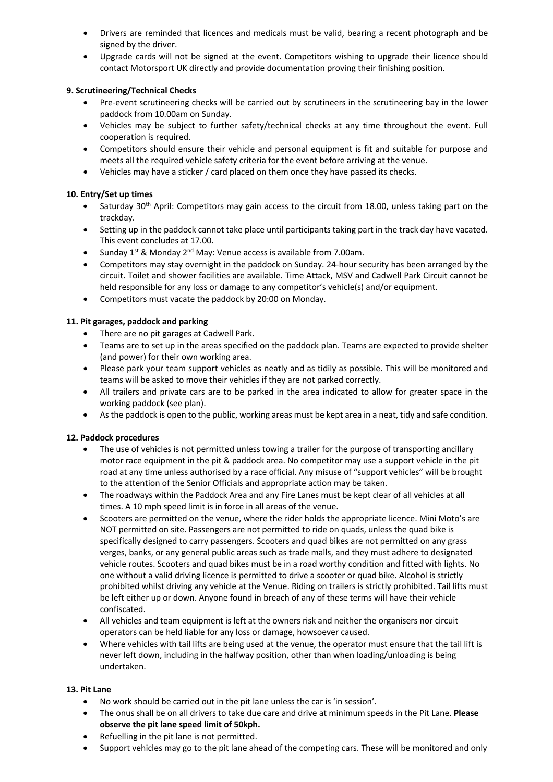- Drivers are reminded that licences and medicals must be valid, bearing a recent photograph and be signed by the driver.
- Upgrade cards will not be signed at the event. Competitors wishing to upgrade their licence should contact Motorsport UK directly and provide documentation proving their finishing position.

# **9. Scrutineering/Technical Checks**

- Pre-event scrutineering checks will be carried out by scrutineers in the scrutineering bay in the lower paddock from 10.00am on Sunday.
- Vehicles may be subject to further safety/technical checks at any time throughout the event. Full cooperation is required.
- Competitors should ensure their vehicle and personal equipment is fit and suitable for purpose and meets all the required vehicle safety criteria for the event before arriving at the venue.
- Vehicles may have a sticker / card placed on them once they have passed its checks.

## **10. Entry/Set up times**

- Saturday 30<sup>th</sup> April: Competitors may gain access to the circuit from 18.00, unless taking part on the trackday.
- Setting up in the paddock cannot take place until participants taking part in the track day have vacated. This event concludes at 17.00.
- Sunday  $1^{st}$  & Monday  $2^{nd}$  May: Venue access is available from 7.00am.
- Competitors may stay overnight in the paddock on Sunday. 24-hour security has been arranged by the circuit. Toilet and shower facilities are available. Time Attack, MSV and Cadwell Park Circuit cannot be held responsible for any loss or damage to any competitor's vehicle(s) and/or equipment.
- Competitors must vacate the paddock by 20:00 on Monday.

# **11. Pit garages, paddock and parking**

- There are no pit garages at Cadwell Park.
- Teams are to set up in the areas specified on the paddock plan. Teams are expected to provide shelter (and power) for their own working area.
- Please park your team support vehicles as neatly and as tidily as possible. This will be monitored and teams will be asked to move their vehicles if they are not parked correctly.
- All trailers and private cars are to be parked in the area indicated to allow for greater space in the working paddock (see plan).
- As the paddock is open to the public, working areas must be kept area in a neat, tidy and safe condition.

# **12. Paddock procedures**

- The use of vehicles is not permitted unless towing a trailer for the purpose of transporting ancillary motor race equipment in the pit & paddock area. No competitor may use a support vehicle in the pit road at any time unless authorised by a race official. Any misuse of "support vehicles" will be brought to the attention of the Senior Officials and appropriate action may be taken.
- The roadways within the Paddock Area and any Fire Lanes must be kept clear of all vehicles at all times. A 10 mph speed limit is in force in all areas of the venue.
- Scooters are permitted on the venue, where the rider holds the appropriate licence. Mini Moto's are NOT permitted on site. Passengers are not permitted to ride on quads, unless the quad bike is specifically designed to carry passengers. Scooters and quad bikes are not permitted on any grass verges, banks, or any general public areas such as trade malls, and they must adhere to designated vehicle routes. Scooters and quad bikes must be in a road worthy condition and fitted with lights. No one without a valid driving licence is permitted to drive a scooter or quad bike. Alcohol is strictly prohibited whilst driving any vehicle at the Venue. Riding on trailers is strictly prohibited. Tail lifts must be left either up or down. Anyone found in breach of any of these terms will have their vehicle confiscated.
- All vehicles and team equipment is left at the owners risk and neither the organisers nor circuit operators can be held liable for any loss or damage, howsoever caused.
- Where vehicles with tail lifts are being used at the venue, the operator must ensure that the tail lift is never left down, including in the halfway position, other than when loading/unloading is being undertaken.

# **13. Pit Lane**

- No work should be carried out in the pit lane unless the car is 'in session'.
- The onus shall be on all drivers to take due care and drive at minimum speeds in the Pit Lane. **Please observe the pit lane speed limit of 50kph.**
- Refuelling in the pit lane is not permitted.
- Support vehicles may go to the pit lane ahead of the competing cars. These will be monitored and only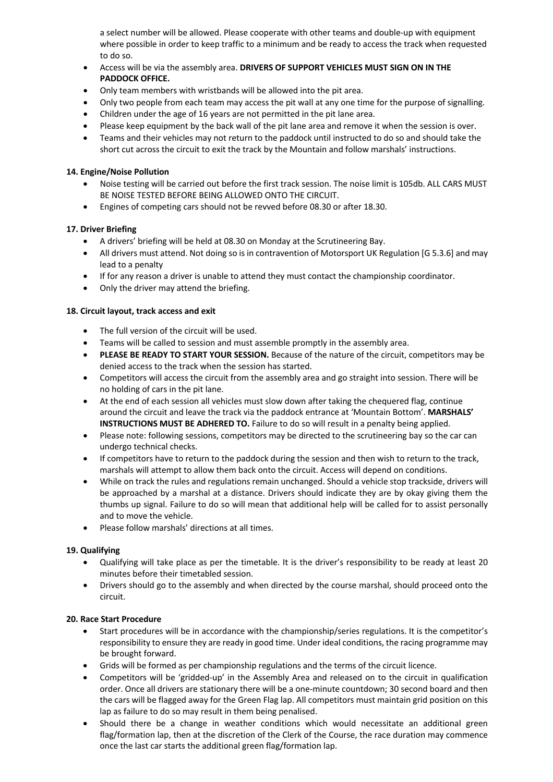a select number will be allowed. Please cooperate with other teams and double-up with equipment where possible in order to keep traffic to a minimum and be ready to access the track when requested to do so.

- Access will be via the assembly area. **DRIVERS OF SUPPORT VEHICLES MUST SIGN ON IN THE PADDOCK OFFICE.**
- Only team members with wristbands will be allowed into the pit area.
- Only two people from each team may access the pit wall at any one time for the purpose of signalling.
- Children under the age of 16 years are not permitted in the pit lane area.
- Please keep equipment by the back wall of the pit lane area and remove it when the session is over.
- Teams and their vehicles may not return to the paddock until instructed to do so and should take the short cut across the circuit to exit the track by the Mountain and follow marshals' instructions.

# **14. Engine/Noise Pollution**

- Noise testing will be carried out before the first track session. The noise limit is 105db. ALL CARS MUST BE NOISE TESTED BEFORE BEING ALLOWED ONTO THE CIRCUIT.
- Engines of competing cars should not be revved before 08.30 or after 18.30.

# **17. Driver Briefing**

- A drivers' briefing will be held at 08.30 on Monday at the Scrutineering Bay.
- All drivers must attend. Not doing so is in contravention of Motorsport UK Regulation [G 5.3.6] and may lead to a penalty
- If for any reason a driver is unable to attend they must contact the championship coordinator.
- Only the driver may attend the briefing.

# **18. Circuit layout, track access and exit**

- The full version of the circuit will be used.
- Teams will be called to session and must assemble promptly in the assembly area.
- **PLEASE BE READY TO START YOUR SESSION.** Because of the nature of the circuit, competitors may be denied access to the track when the session has started.
- Competitors will access the circuit from the assembly area and go straight into session. There will be no holding of cars in the pit lane.
- At the end of each session all vehicles must slow down after taking the chequered flag, continue around the circuit and leave the track via the paddock entrance at 'Mountain Bottom'. **MARSHALS' INSTRUCTIONS MUST BE ADHERED TO.** Failure to do so will result in a penalty being applied.
- Please note: following sessions, competitors may be directed to the scrutineering bay so the car can undergo technical checks.
- If competitors have to return to the paddock during the session and then wish to return to the track, marshals will attempt to allow them back onto the circuit. Access will depend on conditions.
- While on track the rules and regulations remain unchanged. Should a vehicle stop trackside, drivers will be approached by a marshal at a distance. Drivers should indicate they are by okay giving them the thumbs up signal. Failure to do so will mean that additional help will be called for to assist personally and to move the vehicle.
- Please follow marshals' directions at all times.

# **19. Qualifying**

- Qualifying will take place as per the timetable. It is the driver's responsibility to be ready at least 20 minutes before their timetabled session.
- Drivers should go to the assembly and when directed by the course marshal, should proceed onto the circuit.

## **20. Race Start Procedure**

- Start procedures will be in accordance with the championship/series regulations. It is the competitor's responsibility to ensure they are ready in good time. Under ideal conditions, the racing programme may be brought forward.
- Grids will be formed as per championship regulations and the terms of the circuit licence.
- Competitors will be 'gridded-up' in the Assembly Area and released on to the circuit in qualification order. Once all drivers are stationary there will be a one-minute countdown; 30 second board and then the cars will be flagged away for the Green Flag lap. All competitors must maintain grid position on this lap as failure to do so may result in them being penalised.
- Should there be a change in weather conditions which would necessitate an additional green flag/formation lap, then at the discretion of the Clerk of the Course, the race duration may commence once the last car starts the additional green flag/formation lap.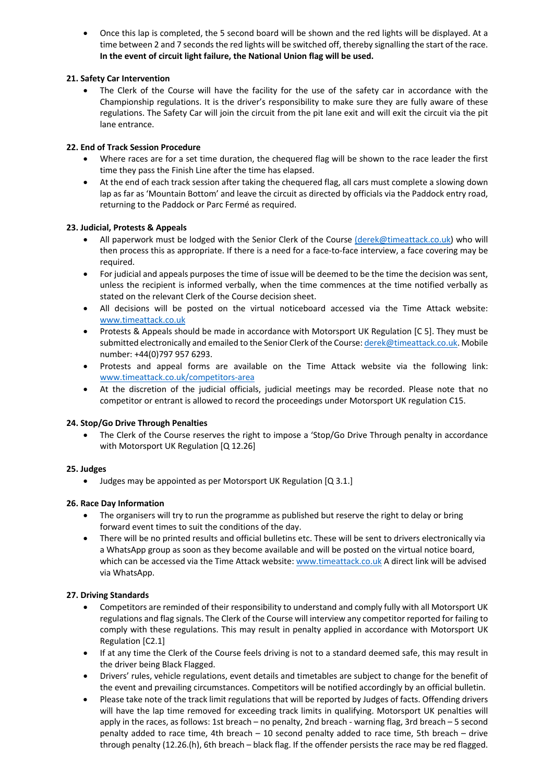• Once this lap is completed, the 5 second board will be shown and the red lights will be displayed. At a time between 2 and 7 seconds the red lights will be switched off, thereby signalling the start of the race. **In the event of circuit light failure, the National Union flag will be used.**

# **21. Safety Car Intervention**

• The Clerk of the Course will have the facility for the use of the safety car in accordance with the Championship regulations. It is the driver's responsibility to make sure they are fully aware of these regulations. The Safety Car will join the circuit from the pit lane exit and will exit the circuit via the pit lane entrance.

# **22. End of Track Session Procedure**

- Where races are for a set time duration, the chequered flag will be shown to the race leader the first time they pass the Finish Line after the time has elapsed.
- At the end of each track session after taking the chequered flag, all cars must complete a slowing down lap as far as 'Mountain Bottom' and leave the circuit as directed by officials via the Paddock entry road, returning to the Paddock or Parc Fermé as required.

# **23. Judicial, Protests & Appeals**

- All paperwork must be lodged with the Senior Clerk of the Course (derek@timeattack.co.uk) who will then process this as appropriate. If there is a need for a face-to-face interview, a face covering may be required.
- For judicial and appeals purposes the time of issue will be deemed to be the time the decision was sent, unless the recipient is informed verbally, when the time commences at the time notified verbally as stated on the relevant Clerk of the Course decision sheet.
- All decisions will be posted on the virtual noticeboard accessed via the Time Attack website: www.timeattack.co.uk
- Protests & Appeals should be made in accordance with Motorsport UK Regulation [C 5]. They must be submitted electronically and emailed to the Senior Clerk of the Course: derek@timeattack.co.uk. Mobile number: +44(0)797 957 6293.
- Protests and appeal forms are available on the Time Attack website via the following link: www.timeattack.co.uk/competitors-area
- At the discretion of the judicial officials, judicial meetings may be recorded. Please note that no competitor or entrant is allowed to record the proceedings under Motorsport UK regulation C15.

# **24. Stop/Go Drive Through Penalties**

• The Clerk of the Course reserves the right to impose a 'Stop/Go Drive Through penalty in accordance with Motorsport UK Regulation [Q 12.26]

# **25. Judges**

• Judges may be appointed as per Motorsport UK Regulation [Q 3.1.]

# **26. Race Day Information**

- The organisers will try to run the programme as published but reserve the right to delay or bring forward event times to suit the conditions of the day.
- There will be no printed results and official bulletins etc. These will be sent to drivers electronically via a WhatsApp group as soon as they become available and will be posted on the virtual notice board, which can be accessed via the Time Attack website: www.timeattack.co.uk A direct link will be advised via WhatsApp.

# **27. Driving Standards**

- Competitors are reminded of their responsibility to understand and comply fully with all Motorsport UK regulations and flag signals. The Clerk of the Course will interview any competitor reported for failing to comply with these regulations. This may result in penalty applied in accordance with Motorsport UK Regulation [C2.1]
- If at any time the Clerk of the Course feels driving is not to a standard deemed safe, this may result in the driver being Black Flagged.
- Drivers' rules, vehicle regulations, event details and timetables are subject to change for the benefit of the event and prevailing circumstances. Competitors will be notified accordingly by an official bulletin.
- Please take note of the track limit regulations that will be reported by Judges of facts. Offending drivers will have the lap time removed for exceeding track limits in qualifying. Motorsport UK penalties will apply in the races, as follows: 1st breach – no penalty, 2nd breach - warning flag, 3rd breach – 5 second penalty added to race time, 4th breach – 10 second penalty added to race time, 5th breach – drive through penalty (12.26.(h), 6th breach – black flag. If the offender persists the race may be red flagged.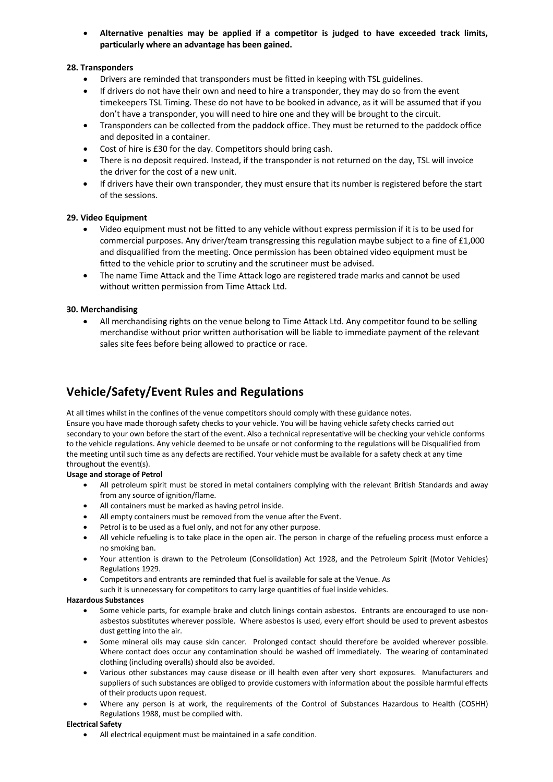• **Alternative penalties may be applied if a competitor is judged to have exceeded track limits, particularly where an advantage has been gained.**

# **28. Transponders**

- Drivers are reminded that transponders must be fitted in keeping with TSL guidelines.
- If drivers do not have their own and need to hire a transponder, they may do so from the event timekeepers TSL Timing. These do not have to be booked in advance, as it will be assumed that if you don't have a transponder, you will need to hire one and they will be brought to the circuit.
- Transponders can be collected from the paddock office. They must be returned to the paddock office and deposited in a container.
- Cost of hire is £30 for the day. Competitors should bring cash.
- There is no deposit required. Instead, if the transponder is not returned on the day, TSL will invoice the driver for the cost of a new unit.
- If drivers have their own transponder, they must ensure that its number is registered before the start of the sessions.

## **29. Video Equipment**

- Video equipment must not be fitted to any vehicle without express permission if it is to be used for commercial purposes. Any driver/team transgressing this regulation maybe subject to a fine of £1,000 and disqualified from the meeting. Once permission has been obtained video equipment must be fitted to the vehicle prior to scrutiny and the scrutineer must be advised.
- The name Time Attack and the Time Attack logo are registered trade marks and cannot be used without written permission from Time Attack Ltd.

## **30. Merchandising**

• All merchandising rights on the venue belong to Time Attack Ltd. Any competitor found to be selling merchandise without prior written authorisation will be liable to immediate payment of the relevant sales site fees before being allowed to practice or race.

# **Vehicle/Safety/Event Rules and Regulations**

At all times whilst in the confines of the venue competitors should comply with these guidance notes. Ensure you have made thorough safety checks to your vehicle. You will be having vehicle safety checks carried out secondary to your own before the start of the event. Also a technical representative will be checking your vehicle conforms to the vehicle regulations. Any vehicle deemed to be unsafe or not conforming to the regulations will be Disqualified from the meeting until such time as any defects are rectified. Your vehicle must be available for a safety check at any time throughout the event(s).

## **Usage and storage of Petrol**

- All petroleum spirit must be stored in metal containers complying with the relevant British Standards and away from any source of ignition/flame.
- All containers must be marked as having petrol inside.
- All empty containers must be removed from the venue after the Event.
- Petrol is to be used as a fuel only, and not for any other purpose.
- All vehicle refueling is to take place in the open air. The person in charge of the refueling process must enforce a no smoking ban.
- Your attention is drawn to the Petroleum (Consolidation) Act 1928, and the Petroleum Spirit (Motor Vehicles) Regulations 1929.
- Competitors and entrants are reminded that fuel is available for sale at the Venue. As
- such it is unnecessary for competitors to carry large quantities of fuel inside vehicles.

#### **Hazardous Substances**

- Some vehicle parts, for example brake and clutch linings contain asbestos. Entrants are encouraged to use nonasbestos substitutes wherever possible. Where asbestos is used, every effort should be used to prevent asbestos dust getting into the air.
- Some mineral oils may cause skin cancer. Prolonged contact should therefore be avoided wherever possible. Where contact does occur any contamination should be washed off immediately. The wearing of contaminated clothing (including overalls) should also be avoided.
- Various other substances may cause disease or ill health even after very short exposures. Manufacturers and suppliers of such substances are obliged to provide customers with information about the possible harmful effects of their products upon request.
- Where any person is at work, the requirements of the Control of Substances Hazardous to Health (COSHH) Regulations 1988, must be complied with.

## **Electrical Safety**

• All electrical equipment must be maintained in a safe condition.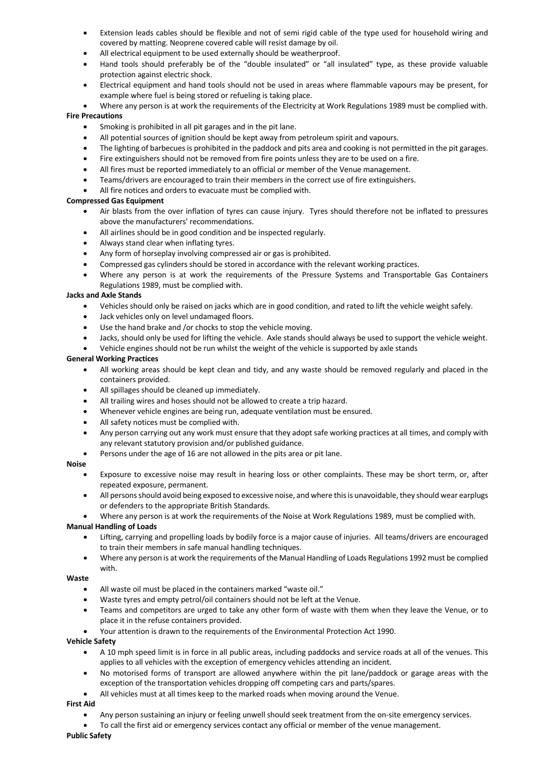- Extension leads cables should be flexible and not of semi rigid cable of the type used for household wiring and covered by matting. Neoprene covered cable will resist damage by oil.
- All electrical equipment to be used externally should be weatherproof.
- Hand tools should preferably be of the "double insulated" or "all insulated" type, as these provide valuable protection against electric shock.
- Electrical equipment and hand tools should not be used in areas where flammable vapours may be present, for example where fuel is being stored or refueling is taking place.
- Where any person is at work the requirements of the Electricity at Work Regulations 1989 must be complied with. **Fire Precautions**
	- Smoking is prohibited in all pit garages and in the pit lane.
	- All potential sources of ignition should be kept away from petroleum spirit and vapours.
	- The lighting of barbecues is prohibited in the paddock and pits area and cooking is not permitted in the pit garages.
	- Fire extinguishers should not be removed from fire points unless they are to be used on a fire.
	- All fires must be reported immediately to an official or member of the Venue management.
	- Teams/drivers are encouraged to train their members in the correct use of fire extinguishers.
	- All fire notices and orders to evacuate must be complied with.

#### **Compressed Gas Equipment**

- Air blasts from the over inflation of tyres can cause injury. Tyres should therefore not be inflated to pressures above the manufacturers' recommendations.
- All airlines should be in good condition and be inspected regularly.
- Always stand clear when inflating tyres.
- Any form of horseplay involving compressed air or gas is prohibited.
- Compressed gas cylinders should be stored in accordance with the relevant working practices.
- Where any person is at work the requirements of the Pressure Systems and Transportable Gas Containers Regulations 1989, must be complied with.

#### **Jacks and Axle Stands**

- Vehicles should only be raised on jacks which are in good condition, and rated to lift the vehicle weight safely.
- Jack vehicles only on level undamaged floors.
- Use the hand brake and /or chocks to stop the vehicle moving.
- Jacks, should only be used for lifting the vehicle. Axle stands should always be used to support the vehicle weight.
- Vehicle engines should not be run whilst the weight of the vehicle is supported by axle stands

#### **General Working Practices**

- All working areas should be kept clean and tidy, and any waste should be removed regularly and placed in the containers provided.
- All spillages should be cleaned up immediately.
- All trailing wires and hoses should not be allowed to create a trip hazard.
- Whenever vehicle engines are being run, adequate ventilation must be ensured.
- All safety notices must be complied with.
- Any person carrying out any work must ensure that they adopt safe working practices at all times, and comply with any relevant statutory provision and/or published guidance.
- Persons under the age of 16 are not allowed in the pits area or pit lane.

#### **Noise**

- Exposure to excessive noise may result in hearing loss or other complaints. These may be short term, or, after repeated exposure, permanent.
- All persons should avoid being exposed to excessive noise, and where this is unavoidable, they should wear earplugs or defenders to the appropriate British Standards.
- Where any person is at work the requirements of the Noise at Work Regulations 1989, must be complied with.

#### **Manual Handling of Loads**

- Lifting, carrying and propelling loads by bodily force is a major cause of injuries. All teams/drivers are encouraged to train their members in safe manual handling techniques.
- Where any person is at work the requirements of the Manual Handling of Loads Regulations 1992 must be complied with.

#### **Waste**

- All waste oil must be placed in the containers marked "waste oil."
- Waste tyres and empty petrol/oil containers should not be left at the Venue.
- Teams and competitors are urged to take any other form of waste with them when they leave the Venue, or to place it in the refuse containers provided.
- Your attention is drawn to the requirements of the Environmental Protection Act 1990.

#### **Vehicle Safety**

- A 10 mph speed limit is in force in all public areas, including paddocks and service roads at all of the venues. This applies to all vehicles with the exception of emergency vehicles attending an incident.
- No motorised forms of transport are allowed anywhere within the pit lane/paddock or garage areas with the exception of the transportation vehicles dropping off competing cars and parts/spares.
- All vehicles must at all times keep to the marked roads when moving around the Venue.

#### **First Aid**

- Any person sustaining an injury or feeling unwell should seek treatment from the on-site emergency services.
- To call the first aid or emergency services contact any official or member of the venue management.

#### **Public Safety**